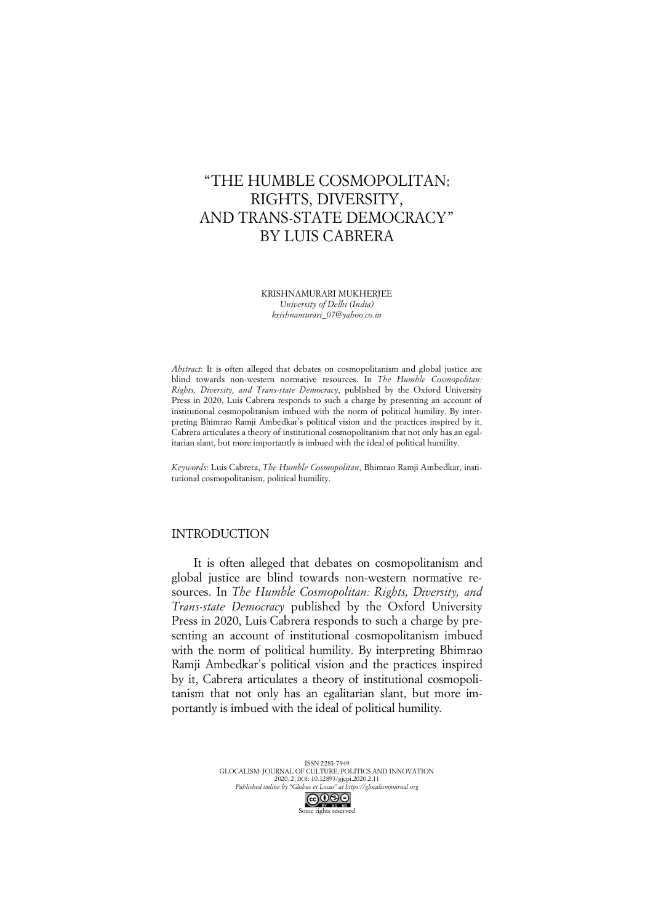# "THE HUMBLE COSMOPOLITAN: RIGHTS, DIVERSITY, AND TRANS-STATE DEMOCRACY" BY LUIS CABRERA

KRISHNAMURARI MUKHERJEE *University of Delhi (India) krishnamurari\_07@yahoo.co.in*

*Abstract*: It is often alleged that debates on cosmopolitanism and global justice are blind towards non-western normative resources. In *The Humble Cosmopolitan: Rights, Diversity, and Trans-state Democracy*, published by the Oxford University Press in 2020, Luis Cabrera responds to such a charge by presenting an account of institutional cosmopolitanism imbued with the norm of political humility. By interpreting Bhimrao Ramji Ambedkar's political vision and the practices inspired by it, Cabrera articulates a theory of institutional cosmopolitanism that not only has an egalitarian slant, but more importantly is imbued with the ideal of political humility.

*Keywords*: Luis Cabrera, *The Humble Cosmopolitan*, Bhimrao Ramji Ambedkar, institutional cosmopolitanism, political humility.

# INTRODUCTION

It is often alleged that debates on cosmopolitanism and global justice are blind towards non-western normative resources. In *The Humble Cosmopolitan: Rights, Diversity, and Trans-state Democracy* published by the Oxford University Press in 2020, Luis Cabrera responds to such a charge by presenting an account of institutional cosmopolitanism imbued with the norm of political humility. By interpreting Bhimrao Ramji Ambedkar's political vision and the practices inspired by it, Cabrera articulates a theory of institutional cosmopolitanism that not only has an egalitarian slant, but more importantly is imbued with the ideal of political humility.

> ISSN 2283-7949 GLOCALISM: JOURNAL OF CULTURE, POLITICS AND INNOVATION 2020, 2, DOI: 10.12893/gjcpi.2020.2.11 *Published online by "Globus et Locus" at https://glocalismjournal.org* Some rights reserved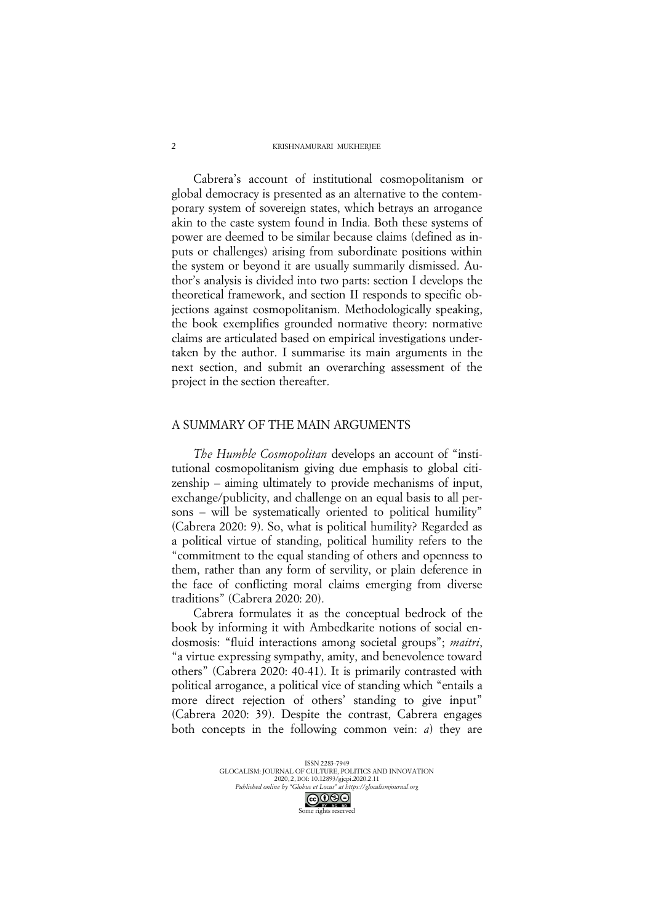### KRISHNAMURARI MUKHERIEE

Cabrera's account of institutional cosmopolitanism or global democracy is presented as an alternative to the contemporary system of sovereign states, which betrays an arrogance akin to the caste system found in India. Both these systems of power are deemed to be similar because claims (defined as inputs or challenges) arising from subordinate positions within the system or beyond it are usually summarily dismissed. Author's analysis is divided into two parts: section I develops the theoretical framework, and section II responds to specific objections against cosmopolitanism. Methodologically speaking, the book exemplifies grounded normative theory: normative claims are articulated based on empirical investigations undertaken by the author. I summarise its main arguments in the next section, and submit an overarching assessment of the project in the section thereafter.

### A SUMMARY OF THE MAIN ARGUMENTS

*The Humble Cosmopolitan* develops an account of "institutional cosmopolitanism giving due emphasis to global citizenship – aiming ultimately to provide mechanisms of input, exchange/publicity, and challenge on an equal basis to all persons – will be systematically oriented to political humility" (Cabrera 2020: 9). So, what is political humility? Regarded as a political virtue of standing, political humility refers to the "commitment to the equal standing of others and openness to them, rather than any form of servility, or plain deference in the face of conflicting moral claims emerging from diverse traditions" (Cabrera 2020: 20).

Cabrera formulates it as the conceptual bedrock of the book by informing it with Ambedkarite notions of social endosmosis: "fluid interactions among societal groups"; *maitri*, "a virtue expressing sympathy, amity, and benevolence toward others" (Cabrera 2020: 40-41). It is primarily contrasted with political arrogance, a political vice of standing which "entails a more direct rejection of others' standing to give input" (Cabrera 2020: 39). Despite the contrast, Cabrera engages both concepts in the following common vein: *a*) they are

 $\overline{\phantom{a}}$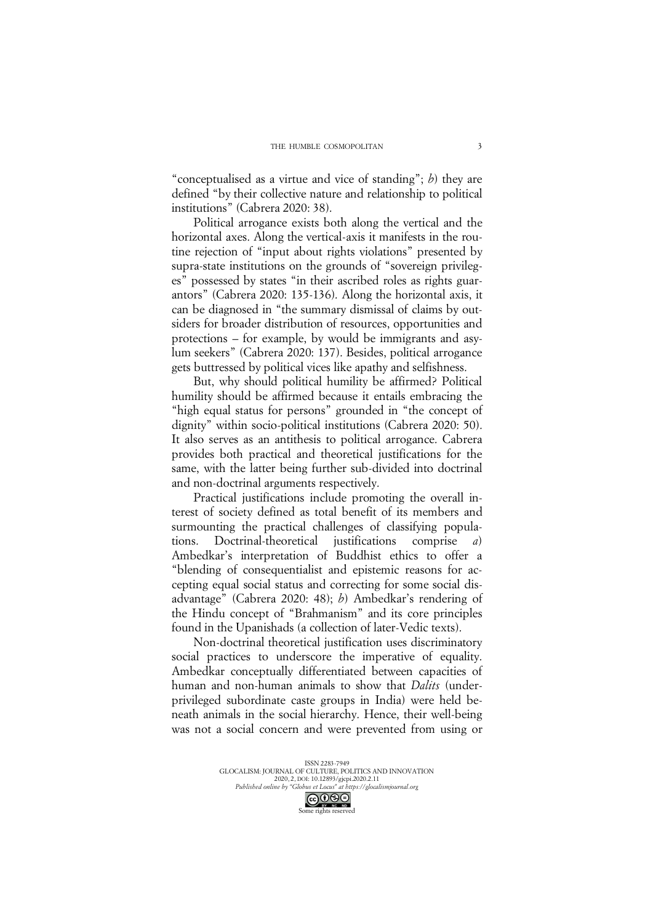"conceptualised as a virtue and vice of standing"; *b*) they are defined "by their collective nature and relationship to political institutions" (Cabrera 2020: 38).

Political arrogance exists both along the vertical and the horizontal axes. Along the vertical-axis it manifests in the routine rejection of "input about rights violations" presented by supra-state institutions on the grounds of "sovereign privileges" possessed by states "in their ascribed roles as rights guarantors" (Cabrera 2020: 135-136). Along the horizontal axis, it can be diagnosed in "the summary dismissal of claims by outsiders for broader distribution of resources, opportunities and protections – for example, by would be immigrants and asylum seekers" (Cabrera 2020: 137). Besides, political arrogance gets buttressed by political vices like apathy and selfishness.

But, why should political humility be affirmed? Political humility should be affirmed because it entails embracing the "high equal status for persons" grounded in "the concept of dignity" within socio-political institutions (Cabrera 2020: 50). It also serves as an antithesis to political arrogance. Cabrera provides both practical and theoretical justifications for the same, with the latter being further sub-divided into doctrinal and non-doctrinal arguments respectively.

Practical justifications include promoting the overall interest of society defined as total benefit of its members and surmounting the practical challenges of classifying populations. Doctrinal-theoretical justifications comprise *a*) Ambedkar's interpretation of Buddhist ethics to offer a "blending of consequentialist and epistemic reasons for accepting equal social status and correcting for some social disadvantage" (Cabrera 2020: 48); *b*) Ambedkar's rendering of the Hindu concept of "Brahmanism" and its core principles found in the Upanishads (a collection of later-Vedic texts).

Non-doctrinal theoretical justification uses discriminatory social practices to underscore the imperative of equality. Ambedkar conceptually differentiated between capacities of human and non-human animals to show that *Dalits* (underprivileged subordinate caste groups in India) were held beneath animals in the social hierarchy. Hence, their well-being was not a social concern and were prevented from using or

Some rights reserved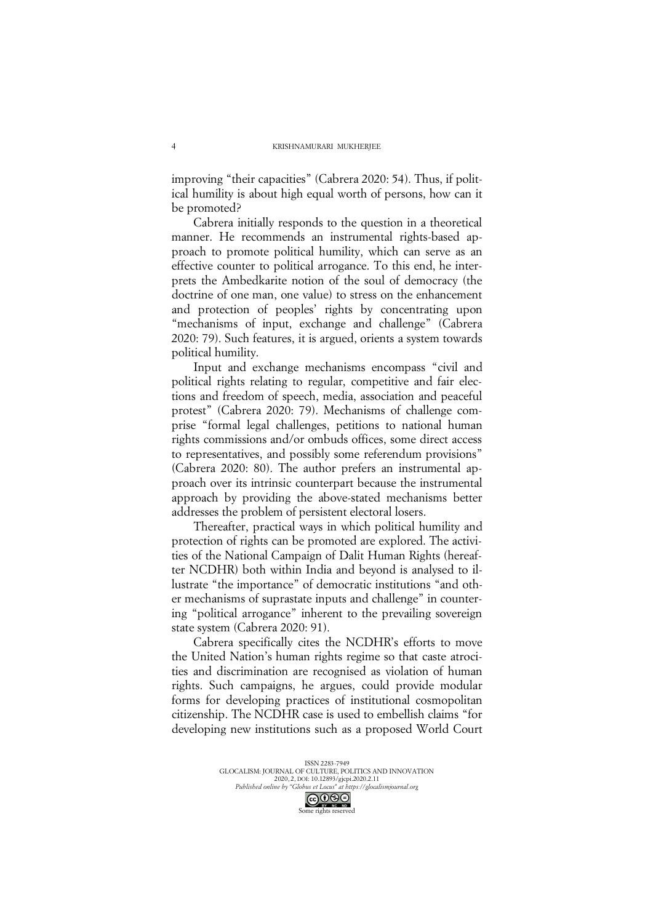improving "their capacities" (Cabrera 2020: 54). Thus, if political humility is about high equal worth of persons, how can it be promoted?

Cabrera initially responds to the question in a theoretical manner. He recommends an instrumental rights-based approach to promote political humility, which can serve as an effective counter to political arrogance. To this end, he interprets the Ambedkarite notion of the soul of democracy (the doctrine of one man, one value) to stress on the enhancement and protection of peoples' rights by concentrating upon "mechanisms of input, exchange and challenge" (Cabrera 2020: 79). Such features, it is argued, orients a system towards political humility.

Input and exchange mechanisms encompass "civil and political rights relating to regular, competitive and fair elections and freedom of speech, media, association and peaceful protest" (Cabrera 2020: 79). Mechanisms of challenge comprise "formal legal challenges, petitions to national human rights commissions and/or ombuds offices, some direct access to representatives, and possibly some referendum provisions" (Cabrera 2020: 80). The author prefers an instrumental approach over its intrinsic counterpart because the instrumental approach by providing the above-stated mechanisms better addresses the problem of persistent electoral losers.

Thereafter, practical ways in which political humility and protection of rights can be promoted are explored. The activities of the National Campaign of Dalit Human Rights (hereafter NCDHR) both within India and beyond is analysed to illustrate "the importance" of democratic institutions "and other mechanisms of suprastate inputs and challenge" in countering "political arrogance" inherent to the prevailing sovereign state system (Cabrera 2020: 91).

Cabrera specifically cites the NCDHR's efforts to move the United Nation's human rights regime so that caste atrocities and discrimination are recognised as violation of human rights. Such campaigns, he argues, could provide modular forms for developing practices of institutional cosmopolitan citizenship. The NCDHR case is used to embellish claims "for developing new institutions such as a proposed World Court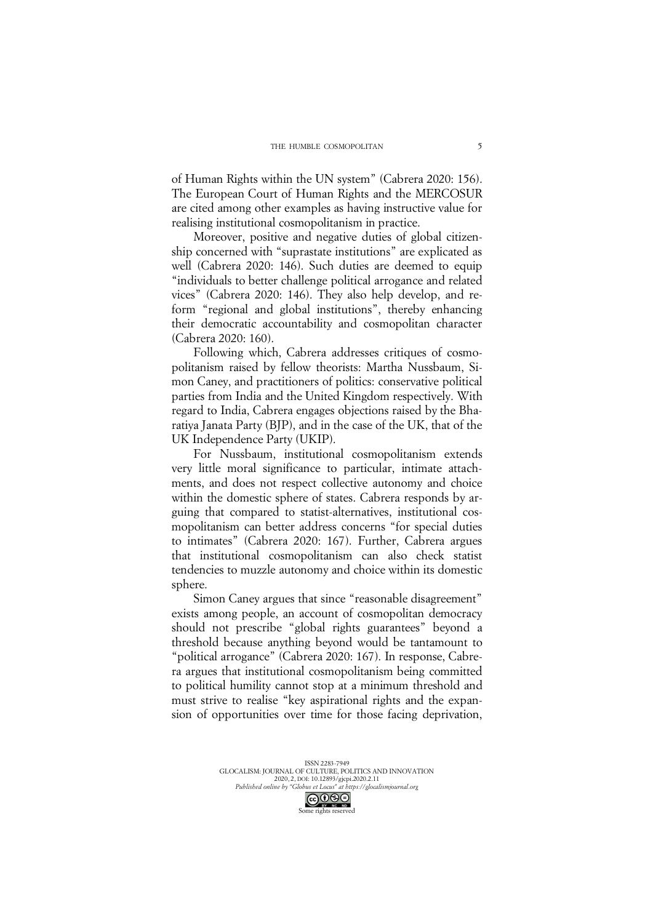of Human Rights within the UN system" (Cabrera 2020: 156). The European Court of Human Rights and the MERCOSUR are cited among other examples as having instructive value for realising institutional cosmopolitanism in practice.

Moreover, positive and negative duties of global citizenship concerned with "suprastate institutions" are explicated as well (Cabrera 2020: 146). Such duties are deemed to equip "individuals to better challenge political arrogance and related vices" (Cabrera 2020: 146). They also help develop, and reform "regional and global institutions", thereby enhancing their democratic accountability and cosmopolitan character (Cabrera 2020: 160).

Following which, Cabrera addresses critiques of cosmopolitanism raised by fellow theorists: Martha Nussbaum, Simon Caney, and practitioners of politics: conservative political parties from India and the United Kingdom respectively. With regard to India, Cabrera engages objections raised by the Bharatiya Janata Party (BJP), and in the case of the UK, that of the UK Independence Party (UKIP).

For Nussbaum, institutional cosmopolitanism extends very little moral significance to particular, intimate attachments, and does not respect collective autonomy and choice within the domestic sphere of states. Cabrera responds by arguing that compared to statist-alternatives, institutional cosmopolitanism can better address concerns "for special duties to intimates" (Cabrera 2020: 167). Further, Cabrera argues that institutional cosmopolitanism can also check statist tendencies to muzzle autonomy and choice within its domestic sphere.

Simon Caney argues that since "reasonable disagreement" exists among people, an account of cosmopolitan democracy should not prescribe "global rights guarantees" beyond a threshold because anything beyond would be tantamount to "political arrogance" (Cabrera 2020: 167). In response, Cabrera argues that institutional cosmopolitanism being committed to political humility cannot stop at a minimum threshold and must strive to realise "key aspirational rights and the expansion of opportunities over time for those facing deprivation,

ISSN 2283-7949 GLOCALISM: JOURNAL OF CULTURE, POLITICS AND INNOVATION 2020, 2, DOI: 10.12893/gjcpi.2020.2.11 *Published online by "Globus et Locus" at https://glocalismjournal.org* Some rights reserved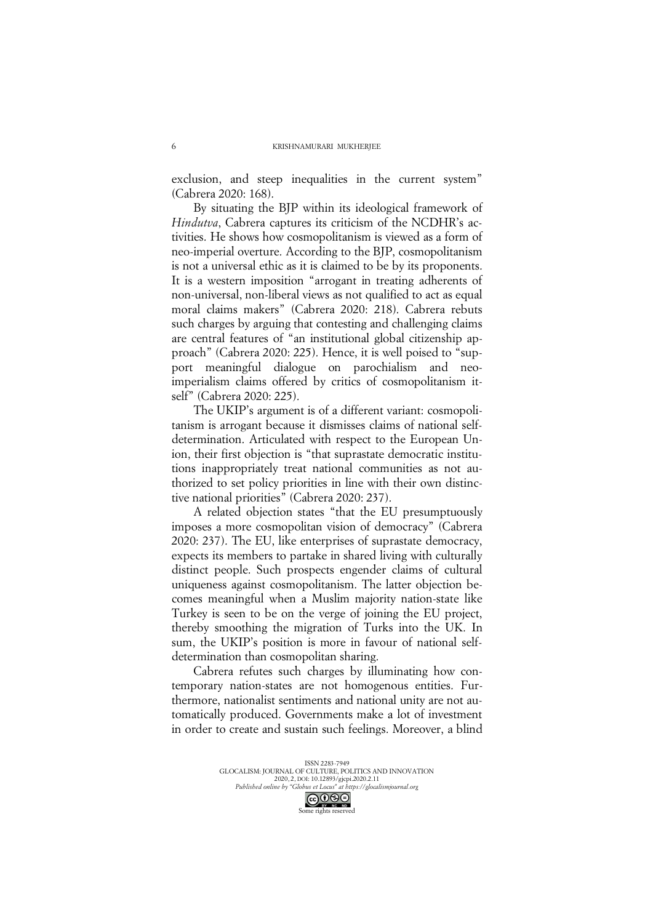exclusion, and steep inequalities in the current system" (Cabrera 2020: 168).

By situating the BJP within its ideological framework of *Hindutva*, Cabrera captures its criticism of the NCDHR's activities. He shows how cosmopolitanism is viewed as a form of neo-imperial overture. According to the BJP, cosmopolitanism is not a universal ethic as it is claimed to be by its proponents. It is a western imposition "arrogant in treating adherents of non-universal, non-liberal views as not qualified to act as equal moral claims makers" (Cabrera 2020: 218). Cabrera rebuts such charges by arguing that contesting and challenging claims are central features of "an institutional global citizenship approach" (Cabrera 2020: 225). Hence, it is well poised to "support meaningful dialogue on parochialism and neoimperialism claims offered by critics of cosmopolitanism itself" (Cabrera 2020: 225).

The UKIP's argument is of a different variant: cosmopolitanism is arrogant because it dismisses claims of national selfdetermination. Articulated with respect to the European Union, their first objection is "that suprastate democratic institutions inappropriately treat national communities as not authorized to set policy priorities in line with their own distinctive national priorities" (Cabrera 2020: 237).

A related objection states "that the EU presumptuously imposes a more cosmopolitan vision of democracy" (Cabrera 2020: 237). The EU, like enterprises of suprastate democracy, expects its members to partake in shared living with culturally distinct people. Such prospects engender claims of cultural uniqueness against cosmopolitanism. The latter objection becomes meaningful when a Muslim majority nation-state like Turkey is seen to be on the verge of joining the EU project, thereby smoothing the migration of Turks into the UK. In sum, the UKIP's position is more in favour of national selfdetermination than cosmopolitan sharing.

Cabrera refutes such charges by illuminating how contemporary nation-states are not homogenous entities. Furthermore, nationalist sentiments and national unity are not automatically produced. Governments make a lot of investment in order to create and sustain such feelings. Moreover, a blind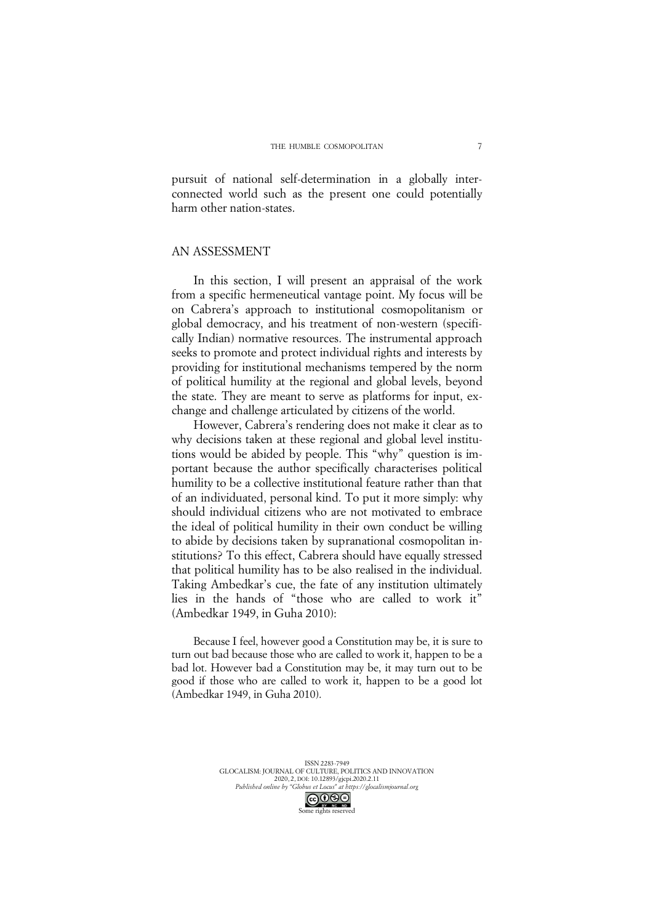pursuit of national self-determination in a globally interconnected world such as the present one could potentially harm other nation-states.

# AN ASSESSMENT

In this section, I will present an appraisal of the work from a specific hermeneutical vantage point. My focus will be on Cabrera's approach to institutional cosmopolitanism or global democracy, and his treatment of non-western (specifically Indian) normative resources. The instrumental approach seeks to promote and protect individual rights and interests by providing for institutional mechanisms tempered by the norm of political humility at the regional and global levels, beyond the state. They are meant to serve as platforms for input, exchange and challenge articulated by citizens of the world.

However, Cabrera's rendering does not make it clear as to why decisions taken at these regional and global level institutions would be abided by people. This "why" question is important because the author specifically characterises political humility to be a collective institutional feature rather than that of an individuated, personal kind. To put it more simply: why should individual citizens who are not motivated to embrace the ideal of political humility in their own conduct be willing to abide by decisions taken by supranational cosmopolitan institutions? To this effect, Cabrera should have equally stressed that political humility has to be also realised in the individual. Taking Ambedkar's cue, the fate of any institution ultimately lies in the hands of "those who are called to work it" (Ambedkar 1949, in Guha 2010):

Because I feel, however good a Constitution may be, it is sure to turn out bad because those who are called to work it, happen to be a bad lot. However bad a Constitution may be, it may turn out to be good if those who are called to work it, happen to be a good lot (Ambedkar 1949, in Guha 2010).

> ISSN 2283-7949 GLOCALISM: JOURNAL OF CULTURE, POLITICS AND INNOVATION 2020, 2, DOI: 10.12893/gjcpi.2020.2.11 *Published online by "Globus et Locus" at https://glocalismjournal.org* Some rights reserved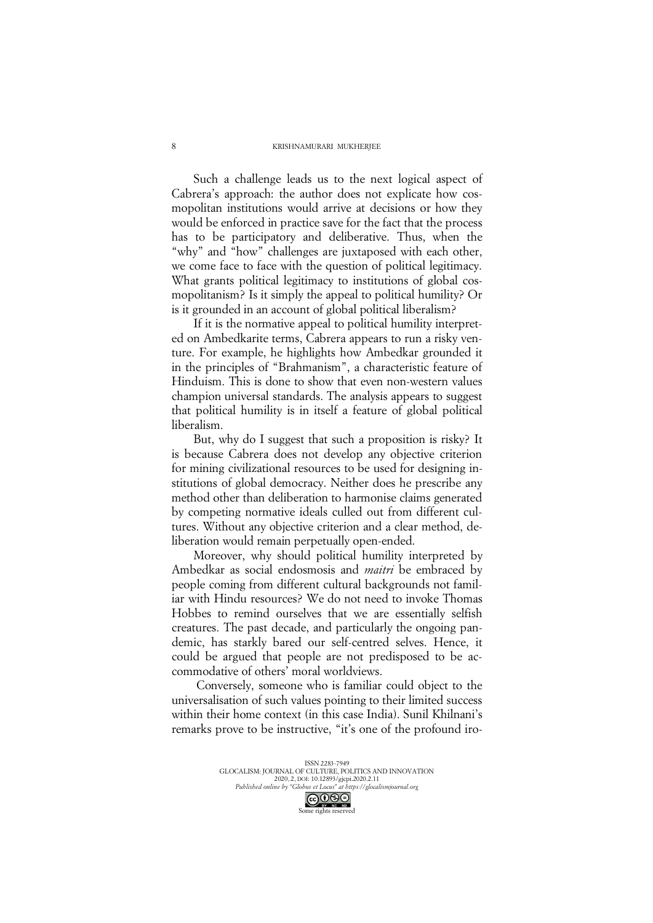#### KRISHNAMURARI MUKHERJEE

Such a challenge leads us to the next logical aspect of Cabrera's approach: the author does not explicate how cosmopolitan institutions would arrive at decisions or how they would be enforced in practice save for the fact that the process has to be participatory and deliberative. Thus, when the "why" and "how" challenges are juxtaposed with each other, we come face to face with the question of political legitimacy. What grants political legitimacy to institutions of global cosmopolitanism? Is it simply the appeal to political humility? Or is it grounded in an account of global political liberalism?

If it is the normative appeal to political humility interpreted on Ambedkarite terms, Cabrera appears to run a risky venture. For example, he highlights how Ambedkar grounded it in the principles of "Brahmanism", a characteristic feature of Hinduism. This is done to show that even non-western values champion universal standards. The analysis appears to suggest that political humility is in itself a feature of global political liberalism.

But, why do I suggest that such a proposition is risky? It is because Cabrera does not develop any objective criterion for mining civilizational resources to be used for designing institutions of global democracy. Neither does he prescribe any method other than deliberation to harmonise claims generated by competing normative ideals culled out from different cultures. Without any objective criterion and a clear method, deliberation would remain perpetually open-ended.

Moreover, why should political humility interpreted by Ambedkar as social endosmosis and *maitri* be embraced by people coming from different cultural backgrounds not familiar with Hindu resources? We do not need to invoke Thomas Hobbes to remind ourselves that we are essentially selfish creatures. The past decade, and particularly the ongoing pandemic, has starkly bared our self-centred selves. Hence, it could be argued that people are not predisposed to be accommodative of others' moral worldviews.

Conversely, someone who is familiar could object to the universalisation of such values pointing to their limited success within their home context (in this case India). Sunil Khilnani's remarks prove to be instructive, "it's one of the profound iro-

8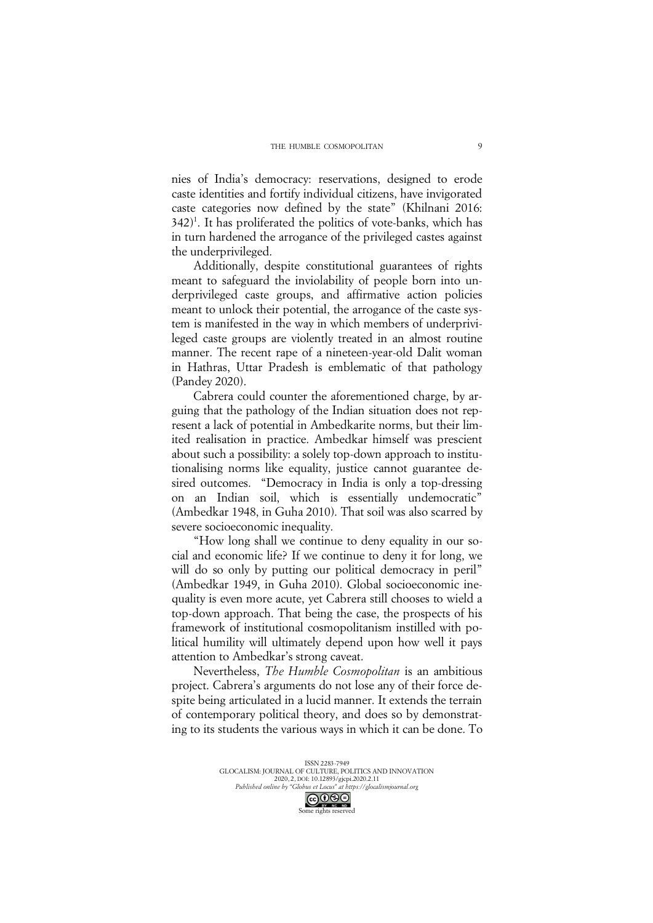nies of India's democracy: reservations, designed to erode caste identities and fortify individual citizens, have invigorated caste categories now defined by the state" (Khilnani 2016: 342)1 . It has proliferated the politics of vote-banks, which has in turn hardened the arrogance of the privileged castes against the underprivileged.

Additionally, despite constitutional guarantees of rights meant to safeguard the inviolability of people born into underprivileged caste groups, and affirmative action policies meant to unlock their potential, the arrogance of the caste system is manifested in the way in which members of underprivileged caste groups are violently treated in an almost routine manner. The recent rape of a nineteen-year-old Dalit woman in Hathras, Uttar Pradesh is emblematic of that pathology (Pandey 2020).

Cabrera could counter the aforementioned charge, by arguing that the pathology of the Indian situation does not represent a lack of potential in Ambedkarite norms, but their limited realisation in practice. Ambedkar himself was prescient about such a possibility: a solely top-down approach to institutionalising norms like equality, justice cannot guarantee desired outcomes. "Democracy in India is only a top-dressing on an Indian soil, which is essentially undemocratic" (Ambedkar 1948, in Guha 2010). That soil was also scarred by severe socioeconomic inequality.

"How long shall we continue to deny equality in our social and economic life? If we continue to deny it for long, we will do so only by putting our political democracy in peril" (Ambedkar 1949, in Guha 2010). Global socioeconomic inequality is even more acute, yet Cabrera still chooses to wield a top-down approach. That being the case, the prospects of his framework of institutional cosmopolitanism instilled with political humility will ultimately depend upon how well it pays attention to Ambedkar's strong caveat.

Nevertheless, *The Humble Cosmopolitan* is an ambitious project. Cabrera's arguments do not lose any of their force despite being articulated in a lucid manner. It extends the terrain of contemporary political theory, and does so by demonstrating to its students the various ways in which it can be done. To